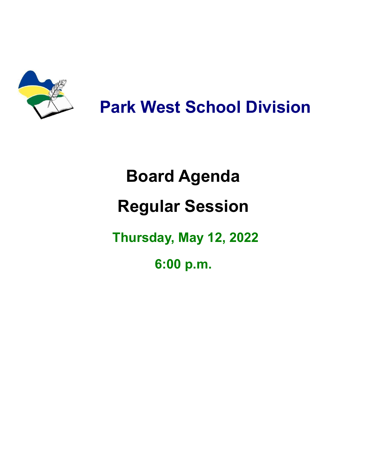

**Park West School Division**

## **Board Agenda Regular Session Thursday, May 12, 2022**

**6:00 p.m.**